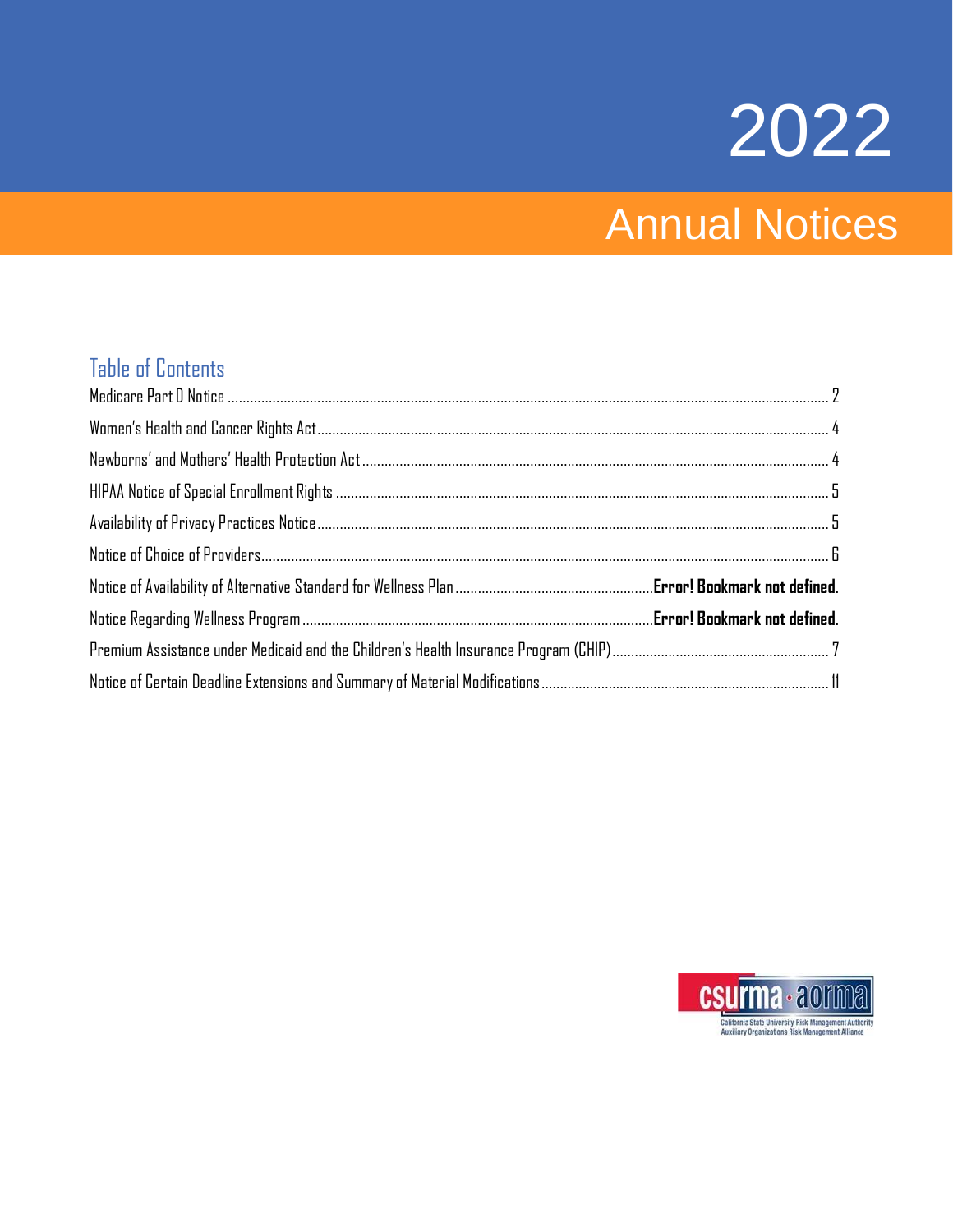# 2022

# Annual Notices

### Table of Contents

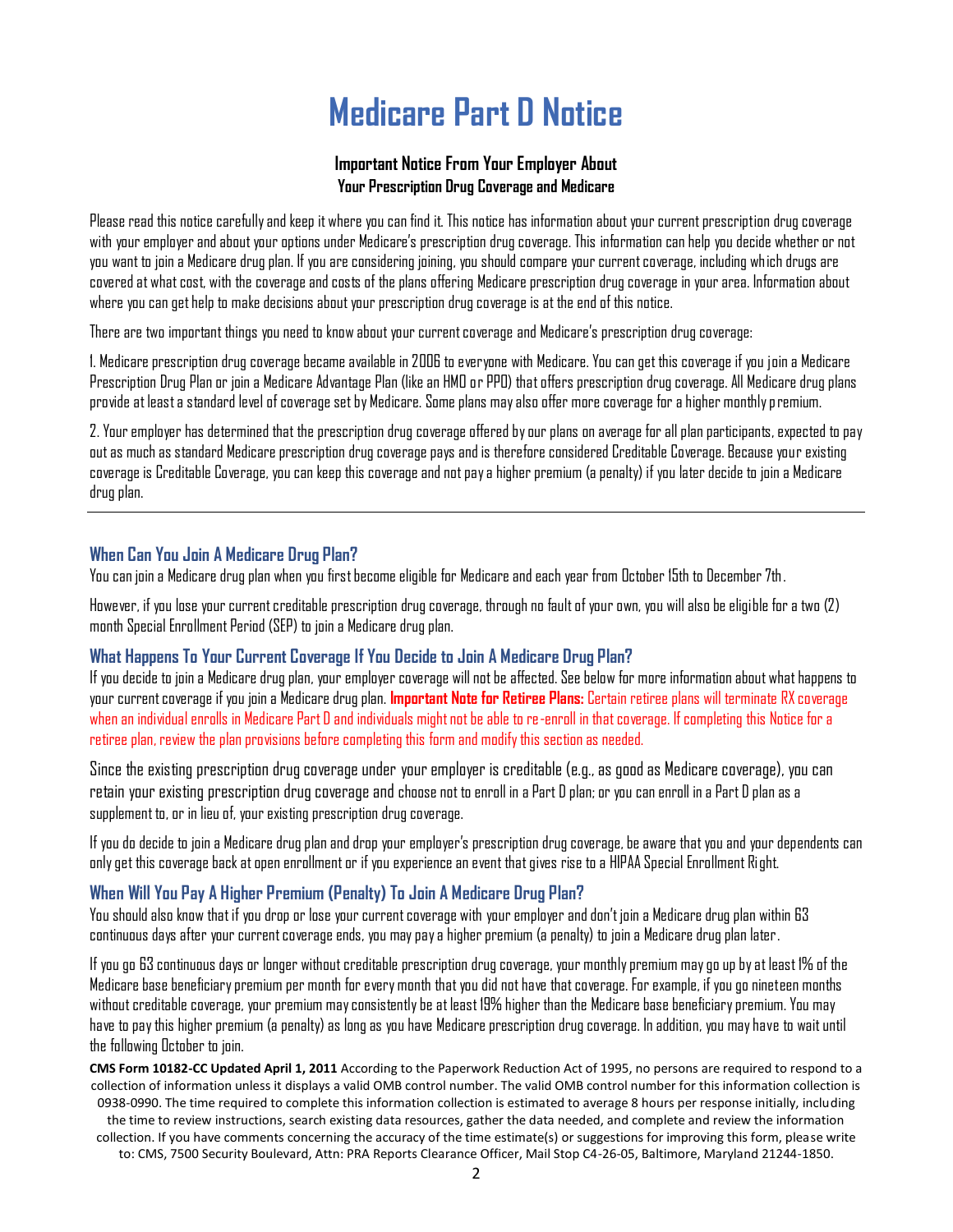### **Medicare Part D Notice**

#### **Important Notice From Your Employer About Your Prescription Drug Coverage and Medicare**

<span id="page-1-0"></span>Please read this notice carefully and keep it where you can find it. This notice has information about your current prescription drug coverage with your employerand about your options under Medicare's prescription drug coverage. This information can help you decide whether or not you want to join a Medicare drug plan. If you are considering joining, you should compare your current coverage, including which drugs are covered at what cost, with the coverage and costs of the plans offering Medicare prescription drug coverage in your area. Information about where you can get help to make decisions about your prescription drug coverage is at the end of this notice.

There are two important things you need to know about your current coverage and Medicare's prescription drug coverage:

1. Medicare prescription drug coverage became available in 2006 to everyone with Medicare. You can get this coverage if you join a Medicare Prescription Drug Plan or join a Medicare Advantage Plan (like an HMO or PPO) that offers prescription drug coverage. All Medicare drug plans provide at least a standard level of coverage set by Medicare. Some plans may also offer more coverage for a higher monthly premium.

2. Your employer has determined that the prescription drug coverage offered by our plans on average for all plan participants, expected to pay out as much as standard Medicare prescription drug coverage pays and is therefore considered Creditable Coverage. Because your existing coverage is Creditable Coverage, you can keep this coverage and not pay a higher premium (a penalty) if you later decide to join a Medicare drug plan.

### **When Can You Join A Medicare Drug Plan?**

You can join a Medicare drug plan when you first become eligible for Medicare and each year from October 15th to December 7th.

However, if you lose your current creditable prescription drug coverage, through no fault of your own, you will also be eligible for a two (2) month Special Enrollment Period (SEP) to join a Medicare drug plan.

### **What Happens To Your Current Coverage If You Decide to Join A Medicare Drug Plan?**

If you decide to join a Medicare drug plan, your employer coverage will notbe affected. See below for more information about what happens to your current coverage if you join a Medicare drug plan. **Important Note for Retiree Plans:** Certain retiree plans will terminate RX coverage when an individual enrolls in Medicare Part D and individuals might not be able to re-enroll in that coverage. If completing this Notice for a retiree plan, review the plan provisions before completing this form and modify this section as needed.

Since the existing prescription drug coverage under your employer is creditable (e.g., as good as Medicare coverage), you can retain your existing prescription drug coverage and choose not to enroll in a Part D plan; or you can enroll in a Part D plan as a supplement to, or in lieu of, your existing prescription drug coverage.

If you do decide to join a Medicare drug plan and drop your employer's prescription drug coverage, be aware that you and your dependents can only get this coverage back at open enrollment or if you experience an event that gives rise to a HIPAA Special Enrollment Right.

### **When Will You Pay A Higher Premium (Penalty) To Join A Medicare Drug Plan?**

You should also know that if you drop or lose your current coverage with your employer and don't join a Medicare drug plan within 63 continuous days after your current coverage ends, you may pay a higher premium (a penalty) to join a Medicare drug plan later.

If you go 63 continuous days or longer without creditable prescription drug coverage, your monthly premium may go up by at least 1% of the Medicare base beneficiary premium per month for every month that you did not have that coverage. For example, if you go nineteen months without creditable coverage, your premium may consistently be at least 19% higher than the Medicare base beneficiary premium. You may have to pay this higher premium (a penalty) as long as you have Medicare prescription drug coverage. In addition, you may have to wait until the following October to join.

**CMS Form 10182-CC Updated April 1, 2011** According to the Paperwork Reduction Act of 1995, no persons are required to respond to a collection of information unless it displays a valid OMB control number. The valid OMB control number for this information collection is 0938-0990. The time required to complete this information collection is estimated to average 8 hours per response initially, including

the time to review instructions, search existing data resources, gather the data needed, and complete and review the information collection. If you have comments concerning the accuracy of the time estimate(s) or suggestions for improving this form, please write

to: CMS, 7500 Security Boulevard, Attn: PRA Reports Clearance Officer, Mail Stop C4-26-05, Baltimore, Maryland 21244-1850.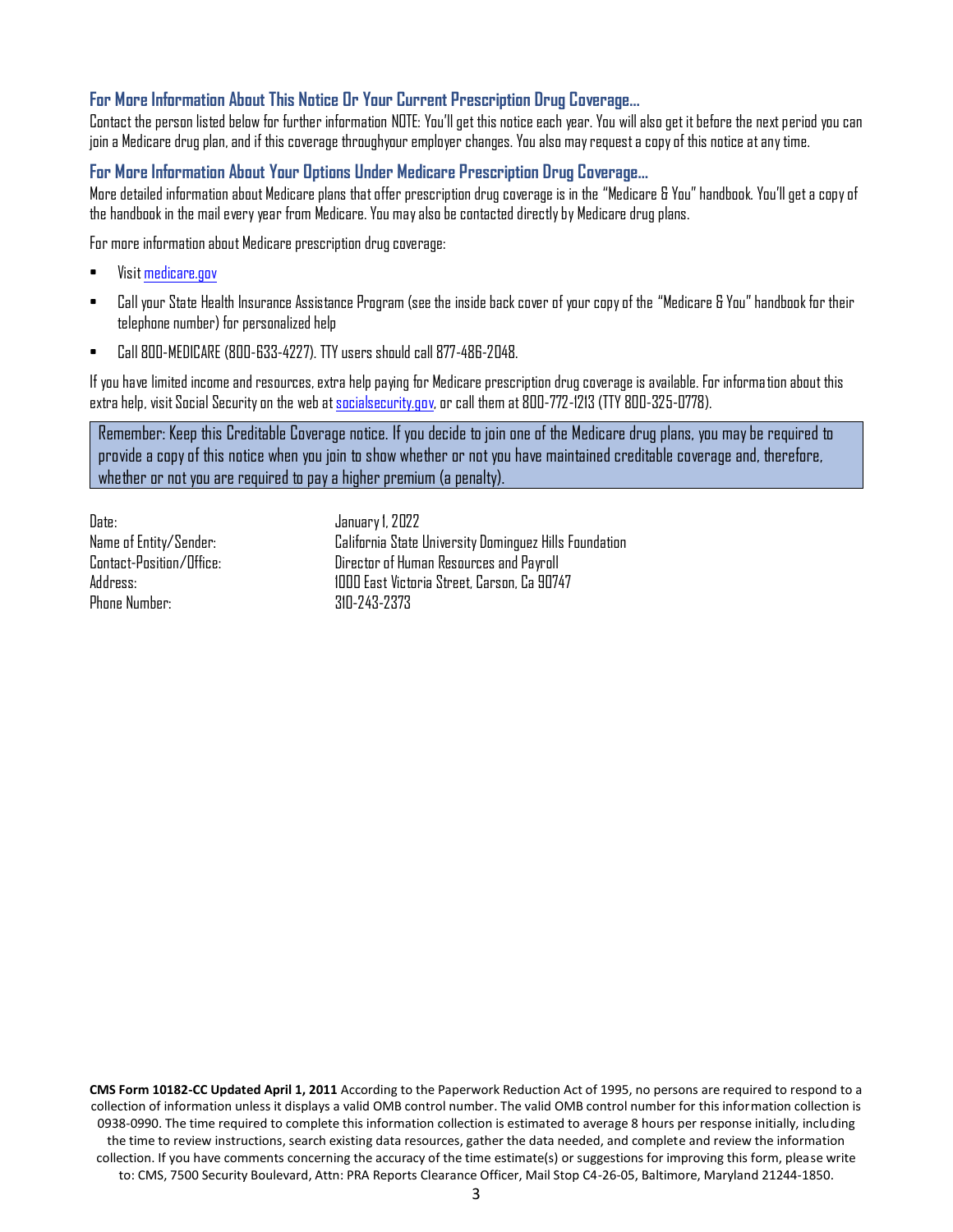#### **For More Information About This Notice Or Your Current Prescription Drug Coverage…**

Contact the person listed below for further information NOTE: You'll get this notice each year. You will also get it before the next period you can join a Medicare drug plan, and if this coverage throughyour employer changes. You also may request a copy of this notice at any time.

### **For More Information About Your Options Under Medicare Prescription Drug Coverage…**

More detailed information about Medicare plans that offer prescription drug coverage is in the "Medicare & You"handbook. You'll get a copy of the handbook in the mail every year from Medicare. You may also be contacted directly by Medicare drug plans.

For more information about Medicare prescription drug coverage:

- Visi[t medicare.gov](http://www.medicare.gov/)
- Call your State Health Insurance Assistance Program (see the inside back cover of your copy of the "Medicare & You"handbook for their telephone number) for personalized help
- Call 800-MEDICARE (800-633-4227). TTY users should call 877-486-2048.

If you have limited income and resources, extra help paying for Medicare prescription drug coverage is available. For information about this extra help, visit Social Security on the web a[t socialsecurity.gov,](http://www.socialsecurity.gov/) or call them at 800-772-1213 (TTY 800-325-0778).

Remember: Keep this Creditable Coverage notice. If you decide to join one of the Medicare drug plans, you may be required to provide a copy of this notice when you join to show whether or not you have maintained creditable coverage and, therefore, whether or not you are required to pay a higher premium (a penalty).

Date: January 1, 2022 Phone Number: 310-243-2373

Name of Entity/Sender: California State University Dominguez Hills Foundation Contact-Position/Office: Director of Human Resources and Payroll Address: 1000 East Victoria Street, Carson, Ca 90747

**CMS Form 10182-CC Updated April 1, 2011** According to the Paperwork Reduction Act of 1995, no persons are required to respond to a collection of information unless it displays a valid OMB control number. The valid OMB control number for this information collection is 0938-0990. The time required to complete this information collection is estimated to average 8 hours per response initially, including the time to review instructions, search existing data resources, gather the data needed, and complete and review the information collection. If you have comments concerning the accuracy of the time estimate(s) or suggestions for improving this form, please write to: CMS, 7500 Security Boulevard, Attn: PRA Reports Clearance Officer, Mail Stop C4-26-05, Baltimore, Maryland 21244-1850.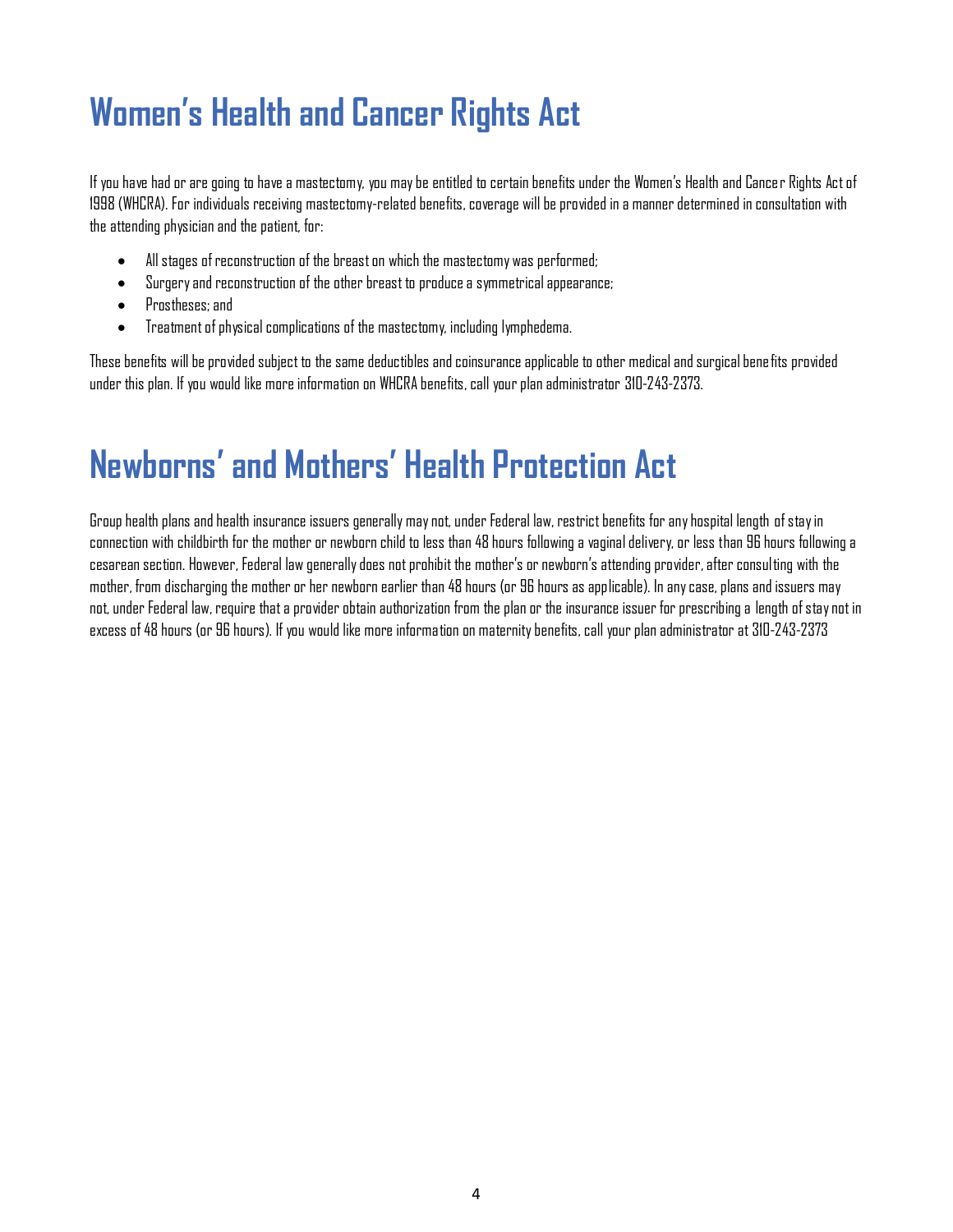# <span id="page-3-0"></span>**Women's Health and Cancer Rights Act**

If you have had or are going to have a mastectomy, you may be entitled to certain benefits under the Women's Health and Cancer Rights Act of 1998 (WHCRA). For individuals receiving mastectomy-related benefits, coverage will be provided in a manner determined in consultation with the attending physician and the patient, for:

- All stages of reconstruction of the breast on which the mastectomy was performed;
- Surgery and reconstruction of the other breast to produce a symmetrical appearance;
- Prostheses; and
- Treatment of physical complications of the mastectomy, including lymphedema.

These benefits will be provided subject to the same deductibles and coinsurance applicable to other medical and surgical benefits provided under this plan. If you would like more information on WHCRA benefits, call your plan administrator 310-243-2373.

### <span id="page-3-1"></span>**Newborns' and Mothers' Health Protection Act**

Group health plans and health insurance issuers generally may not, under Federal law, restrict benefits for any hospital length of stay in connection with childbirth for the mother or newborn child to less than 48 hours following a vaginal delivery, or less than 96 hours following a cesarean section. However, Federal law generally does not prohibit the mother's or newborn's attending provider, after consulting with the mother, from discharging the mother or her newborn earlier than 48 hours (or 96 hours as applicable). In any case, plans and issuers may not, under Federal law, require that a provider obtain authorization from the plan or the insurance issuer for prescribing a length of stay not in excess of 48 hours (or 96 hours). If you would like more information on maternity benefits, call your plan administrator at 310-243-2373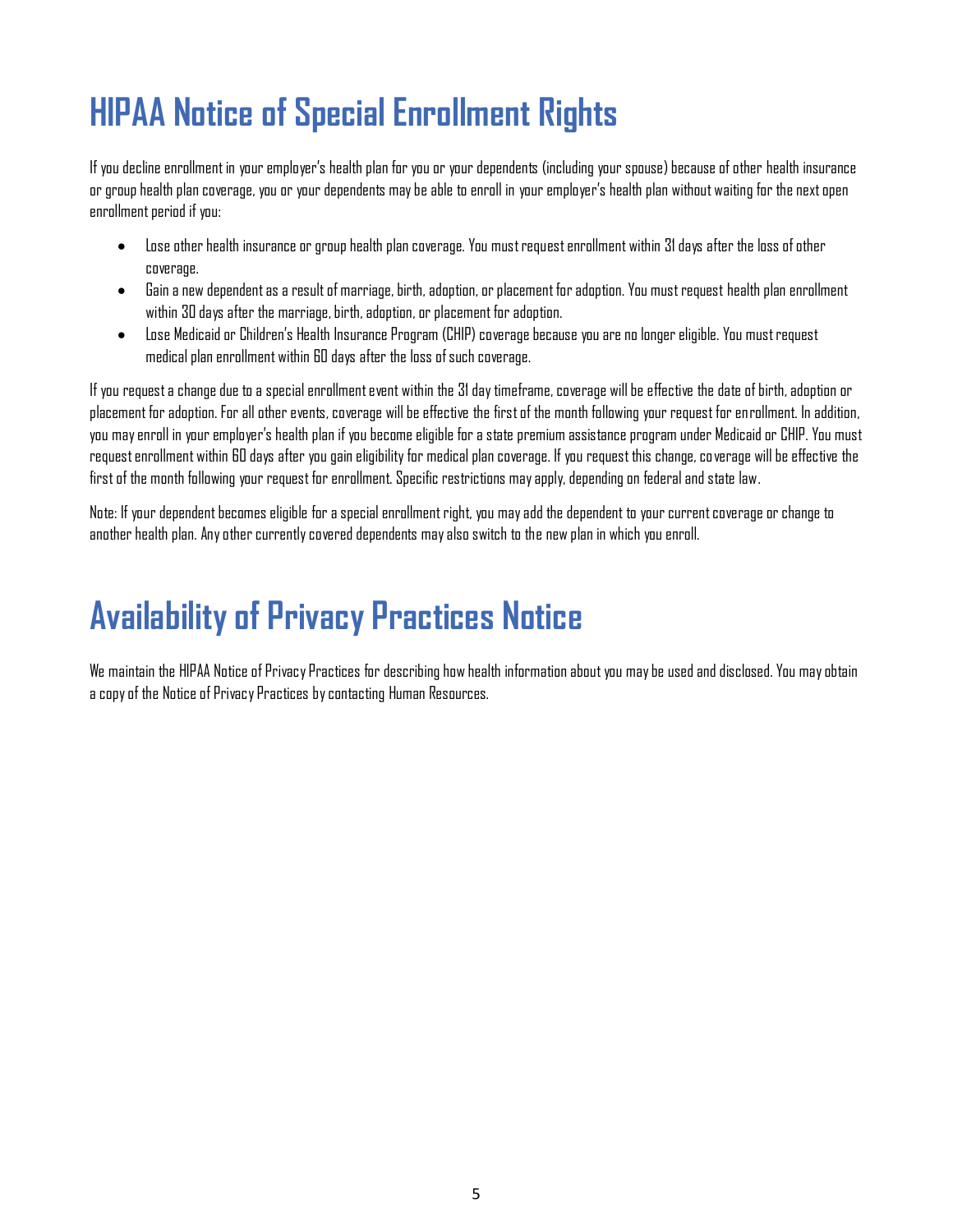# <span id="page-4-0"></span>**HIPAA Notice of Special Enrollment Rights**

If you decline enrollment in your employer's health plan for you or your dependents (including your spouse) because of other health insurance or group health plan coverage, you or your dependents may be able to enroll in your employer's health plan without waiting for the next open enrollment period if you:

- Lose other health insurance or group health plan coverage. You must request enrollment within 31days after the loss of other coverage.
- Gain a new dependent as a result of marriage, birth, adoption, or placement for adoption. You must request health plan enrollment within 30 days after the marriage, birth, adoption, or placement for adoption.
- Lose Medicaid or Children's Health Insurance Program (CHIP) coverage because you are no longer eligible. You must request medical plan enrollment within 60 days after the loss of such coverage.

If you request a change due to a specialenrollment event within the 31 day timeframe, coverage will be effective the date of birth, adoption or placement for adoption. For all other events, coverage will be effective the first of the month following your request for enrollment. In addition, you may enroll in your employer's health plan if you become eligible for a state premium assistance program under Medicaid or CHIP. You must request enrollment within 60 days after you gain eligibility for medical plan coverage. If you request this change, coverage will be effective the first of the month following your request for enrollment. Specific restrictions may apply, depending on federal and state law.

Note: If your dependent becomes eligible for a special enrollment right, you may add the dependent to your current coverage or change to another health plan. Any other currently covered dependents may also switch to the new plan in which you enroll.

# <span id="page-4-1"></span>**Availability of Privacy Practices Notice**

We maintain the HIPAA Notice of Privacy Practices for describing how health information about you may be used and disclosed. You may obtain a copy of the Notice of Privacy Practices by contacting Human Resources.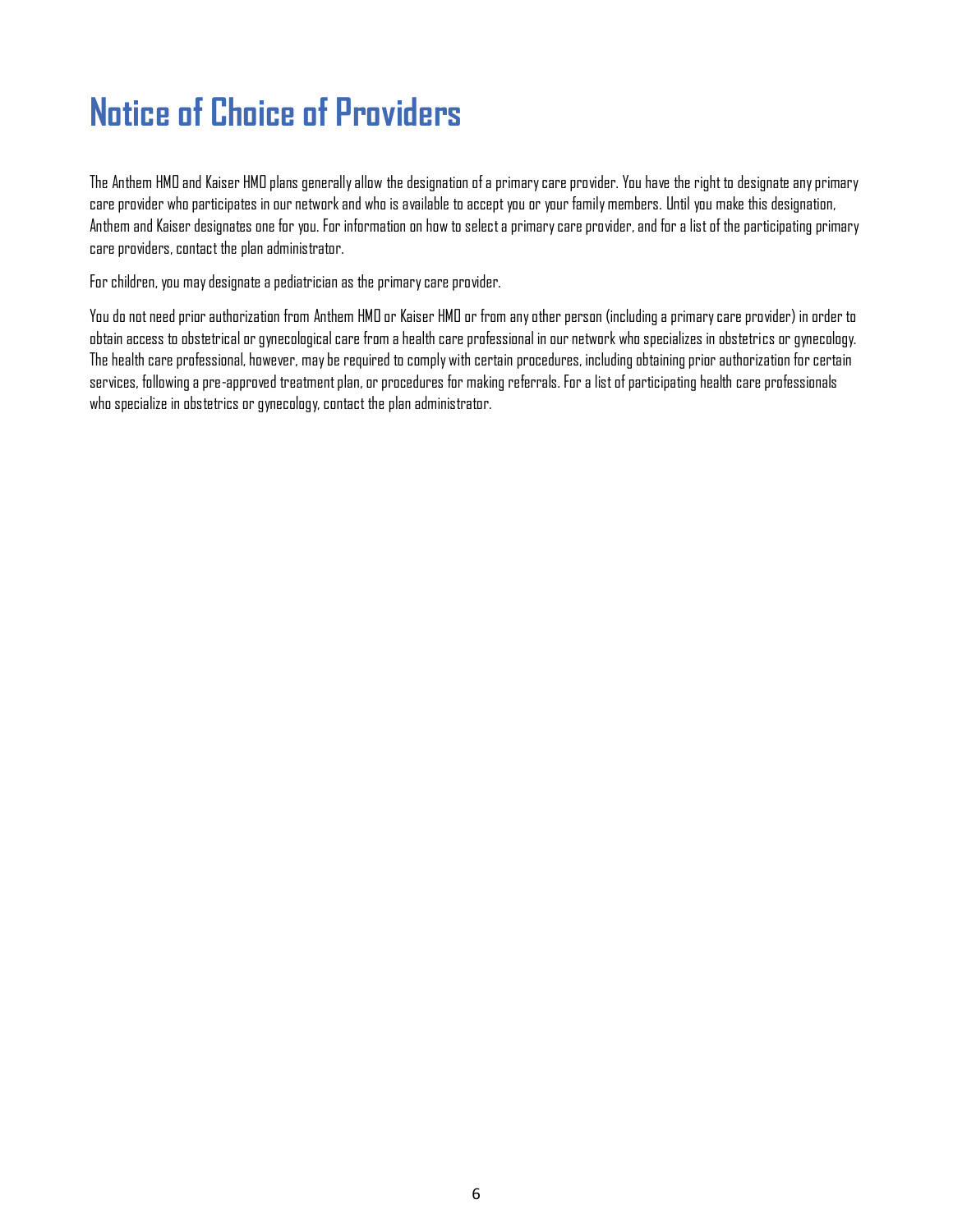# <span id="page-5-0"></span>**Notice of Choice of Providers**

The Anthem HMO and Kaiser HMO plans generally allow the designation of a primary care provider. You have the right to designate any primary care provider who participates in our network and who is available to accept you or your family members. Until you make this designation, Anthem and Kaiser designates one for you. For information on how to select a primary care provider, and for a list of the participating primary care providers, contact the plan administrator.

For children, you may designate a pediatrician as the primary care provider.

You do not need prior authorization from Anthem HMO or Kaiser HMO or from any other person (including a primary care provider) in order to obtain access to obstetrical or gynecological care from a health care professional in our network who specializes in obstetrics or gynecology. The health care professional, however, may be required to comply with certain procedures, including obtaining prior authorization for certain services, following a pre-approved treatment plan, or procedures for making referrals. For a list of participating health care professionals who specialize in obstetrics or gynecology, contact the plan administrator.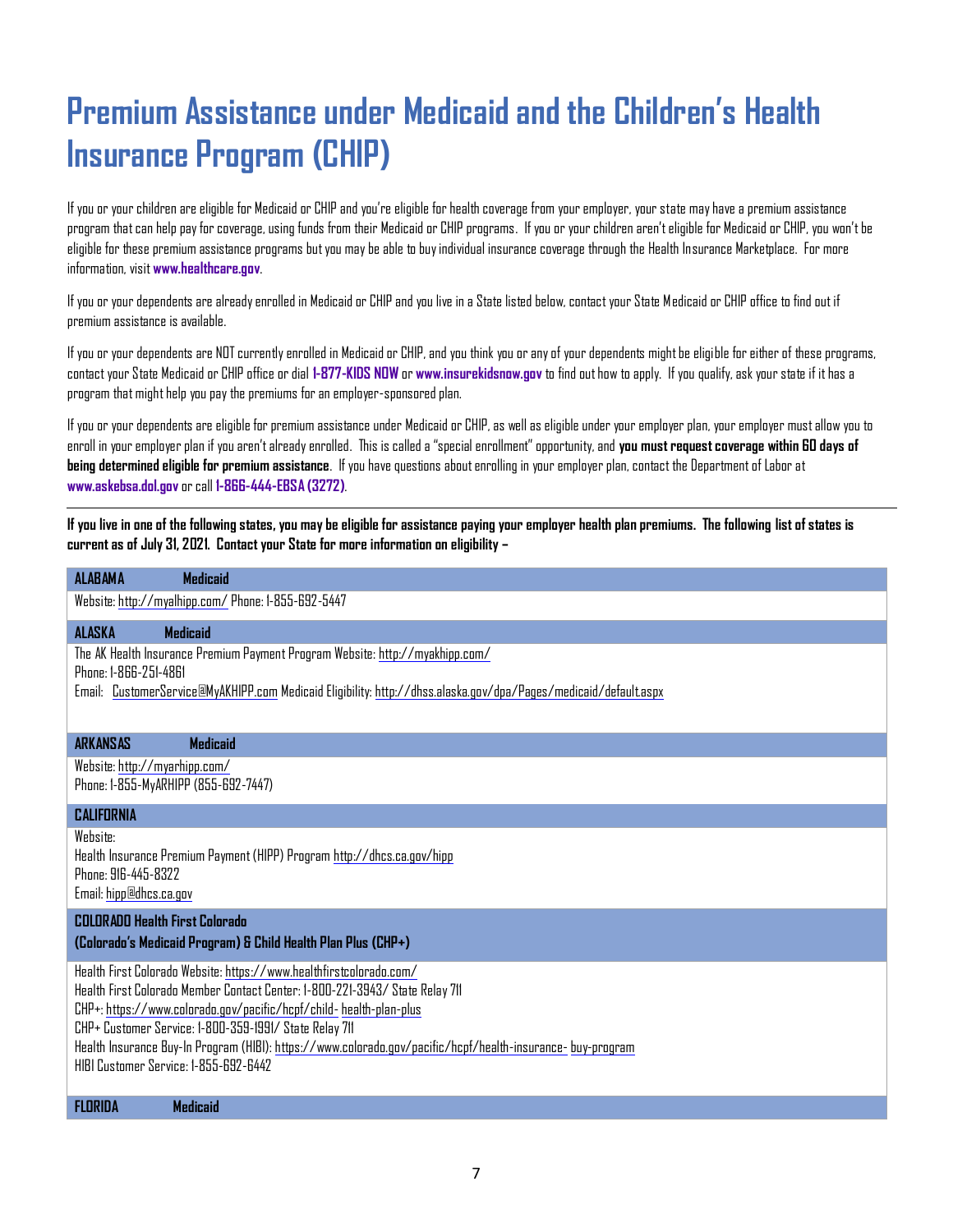### <span id="page-6-0"></span>**Premium Assistance under Medicaid and the Children's Health Insurance Program (CHIP)**

If you or your children are eligible for Medicaid or CHIP and you're eligible for health coverage from your employer, your state may have a premium assistance program that can help pay for coverage, using funds from their Medicaid or CHIP programs. If you or your children aren't eligible for Medicaid or CHIP, you won't be eligible for these premium assistance programs but you may be able to buy individual insurance coverage through the Health Insurance Marketplace. For more information, visit **[www.healthcare.gov](http://www.healthcare.gov/)**.

If you or your dependents are already enrolled in Medicaid or CHIP and you live in a State listed below, contact your State Medicaid or CHIP office to find out if premium assistance is available.

If you or your dependents are NOT currently enrolled in Medicaid or CHIP, and you think you or any of your dependents might be eligible for either of these programs, contact your State Medicaid or CHIP office or dial **1-877-KIDS NOW** or **[www.insurekidsnow.gov](http://www.insurekidsnow.gov/)** to find out how to apply. If you qualify, ask your state if it has a program that might help you pay the premiums for an employer-sponsored plan.

If you or your dependents are eligible for premium assistance under Medicaid or CHIP, as well as eligible under your employer plan, your employer must allow you to enroll in your employer plan if you aren't already enrolled. This is called a "special enrollment" opportunity, and **you must request coverage within 60 days of being determined eligible for premium assistance**. If you have questions about enrolling in your employer plan, contact the Department of Labor at **[www.askebsa.dol.gov](http://www.askebsa.dol.gov/)**or call **1-866-444-EBSA (3272)**.

**If you live in one of the following states, you may be eligible for assistance paying your employer health plan premiums. The following list of states is current as of July 31, 2021. Contact your State for more information on eligibility –**

| Website: http://myalhipp.com/ Phone: 1-855-692-5447                                                                                                                                                                                                                                                                                                                                                                                          |  |  |
|----------------------------------------------------------------------------------------------------------------------------------------------------------------------------------------------------------------------------------------------------------------------------------------------------------------------------------------------------------------------------------------------------------------------------------------------|--|--|
| <b>ALASKA</b><br><b>Medicaid</b>                                                                                                                                                                                                                                                                                                                                                                                                             |  |  |
| The AK Health Insurance Premium Payment Program Website: http://myakhipp.com/<br>Phone: 1-866-251-4861<br>Email: CustomerService@MyAKHIPP.com Medicaid Eligibility: http://dhss.alaska.gov/dpa/Pages/medicaid/default.aspx                                                                                                                                                                                                                   |  |  |
| <b>ARKANSAS</b><br><b>Medicaid</b>                                                                                                                                                                                                                                                                                                                                                                                                           |  |  |
| Website: http://myarhipp.com/<br>Phone: 1-855-MyARHIPP (855-692-7447)                                                                                                                                                                                                                                                                                                                                                                        |  |  |
| CALIFORNIA                                                                                                                                                                                                                                                                                                                                                                                                                                   |  |  |
| Website:<br>Health Insurance Premium Payment (HIPP) Program http://dhcs.ca.gov/hipp<br>Phone: 916-445-8322<br>Email: hipp@dhcs.ca.gov                                                                                                                                                                                                                                                                                                        |  |  |
| <b>COLORADO Health First Colorado</b><br>(Colorado's Medicaid Program) & Child Health Plan Plus (CHP+)                                                                                                                                                                                                                                                                                                                                       |  |  |
| Health First Colorado Website: https://www.healthfirstcolorado.com/<br>Health First Colorado Member Contact Center: 1-800-221-3943/ State Relay 711<br>CHP+: https://www.colorado.gov/pacific/hcpf/child- health-plan-plus<br>CHP+ Customer Service: 1-800-359-1991/ State Relay 711<br>Health Insurance Buy-In Program (HIBI): https://www.colorado.gov/pacific/hcpf/health-insurance- buy-program<br>HIBI Customer Service: 1-855-692-6442 |  |  |
| <b>FLORIDA</b><br><b>Medicaid</b>                                                                                                                                                                                                                                                                                                                                                                                                            |  |  |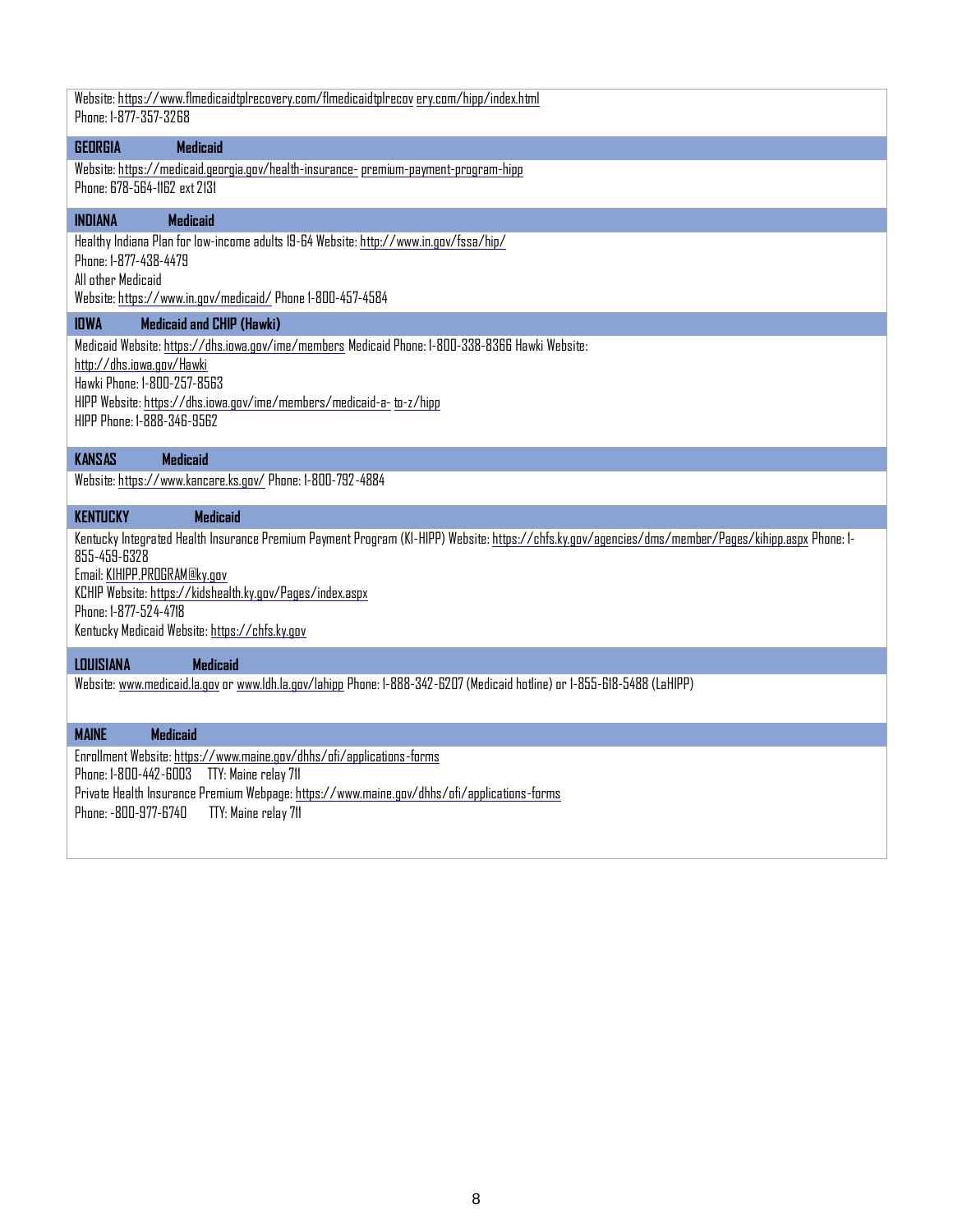Website[: https://www.flmedicaidtplrecovery.com/flmedicaidtplrecov](https://www.flmedicaidtplrecovery.com/flmedicaidtplrecovery.com/hipp/index.html) [ery.com/hipp/index.html](https://www.flmedicaidtplrecovery.com/flmedicaidtplrecovery.com/hipp/index.html) Phone: 1-877-357-3268

#### **GEORGIA Medicaid**

Website[: https://medicaid.georgia.gov/health-insurance-premium-payment-program-hipp](https://gcc01.safelinks.protection.outlook.com/?url=https%3A%2F%2Fmedicaid.georgia.gov%2Fhealth-insurance-premium-payment-program-hipp&data=02%7C01%7Cstashlaw%40dch.ga.gov%7C98b18a96ce1b49d087f708d709449652%7C512da10d071b4b948abc9ec4044d1516%7C0%7C0%7C636988062560854968&sdata=7rziGawQfBKcW1N2%2Bdi2j8cyHpaCYURGdtF8Hk%2By6FM%3D&reserved=0) Phone: 678-564-1162 ext 2131

#### **INDIANA Medicaid**

Healthy Indiana Plan for low-income adults 19-64 Website[: http://www.in.gov/fssa/hip/](http://www.in.gov/fssa/hip/) Phone: 1-877-438-4479

All other Medicaid

Website[: https://www.in.gov/medicaid/](https://www.in.gov/medicaid/) Phone 1-800-457-4584

#### **IOWA Medicaid and CHIP (Hawki)**

Medicaid Website[: https://dhs.iowa.gov/ime/members](https://dhs.iowa.gov/ime/members) Medicaid Phone: 1-800-338-8366 Hawki Website:

<http://dhs.iowa.gov/Hawki>

Hawki Phone: 1-800-257-8563

HIPP Website: [https://dhs.iowa.gov/ime/members/medicaid-a-](https://dhs.iowa.gov/ime/members/medicaid-a-to-z/hipp) [to-z/hipp](https://dhs.iowa.gov/ime/members/medicaid-a-to-z/hipp)

HIPP Phone: 1-888-346-9562

#### **KANSAS Medicaid**

Website[: https://www.kancare.ks.gov/](https://www.kancare.ks.gov/) Phone: 1-800-792-4884

#### **KENTUCKY Medicaid**

Kentucky Integrated Health Insurance Premium Payment Program (KI-HIPP) Website[: https://chfs.ky.gov/agencies/dms/member/Pages/kihipp.aspx](https://chfs.ky.gov/agencies/dms/member/Pages/kihipp.aspx) Phone: 1- 855-459-6328

Email[: KIHIPP.PROGRAM@ky.gov](mailto:KIHIPP.PROGRAM@ky.gov)

KCHIP Website:<https://kidshealth.ky.gov/Pages/index.aspx> Phone: 1-877-524-4718 Kentucky Medicaid Website[: https://chfs.ky.gov](https://chfs.ky.gov/)

#### **LOUISIANA Medicaid**

Website: www.medicaid.la.gov o[r www.ldh.la.gov/lahipp](http://www.ldh.la.gov/lahipp) Phone: 1-888-342-6207 (Medicaid hotline) or 1-855-618-5488 (LaHIPP)

#### **MAINE Medicaid**

Enrollment Website[: https://www.maine.gov/dhhs/ofi/applications-forms](https://www.maine.gov/dhhs/ofi/applications-forms) Phone: 1-800-442-6003 TTY: Maine relay 711 Private Health Insurance Premium Webpage[: https://www.maine.gov/dhhs/ofi/applications-forms](https://www.maine.gov/dhhs/ofi/applications-forms) Phone: -800-977-6740 TTY: Maine relay 711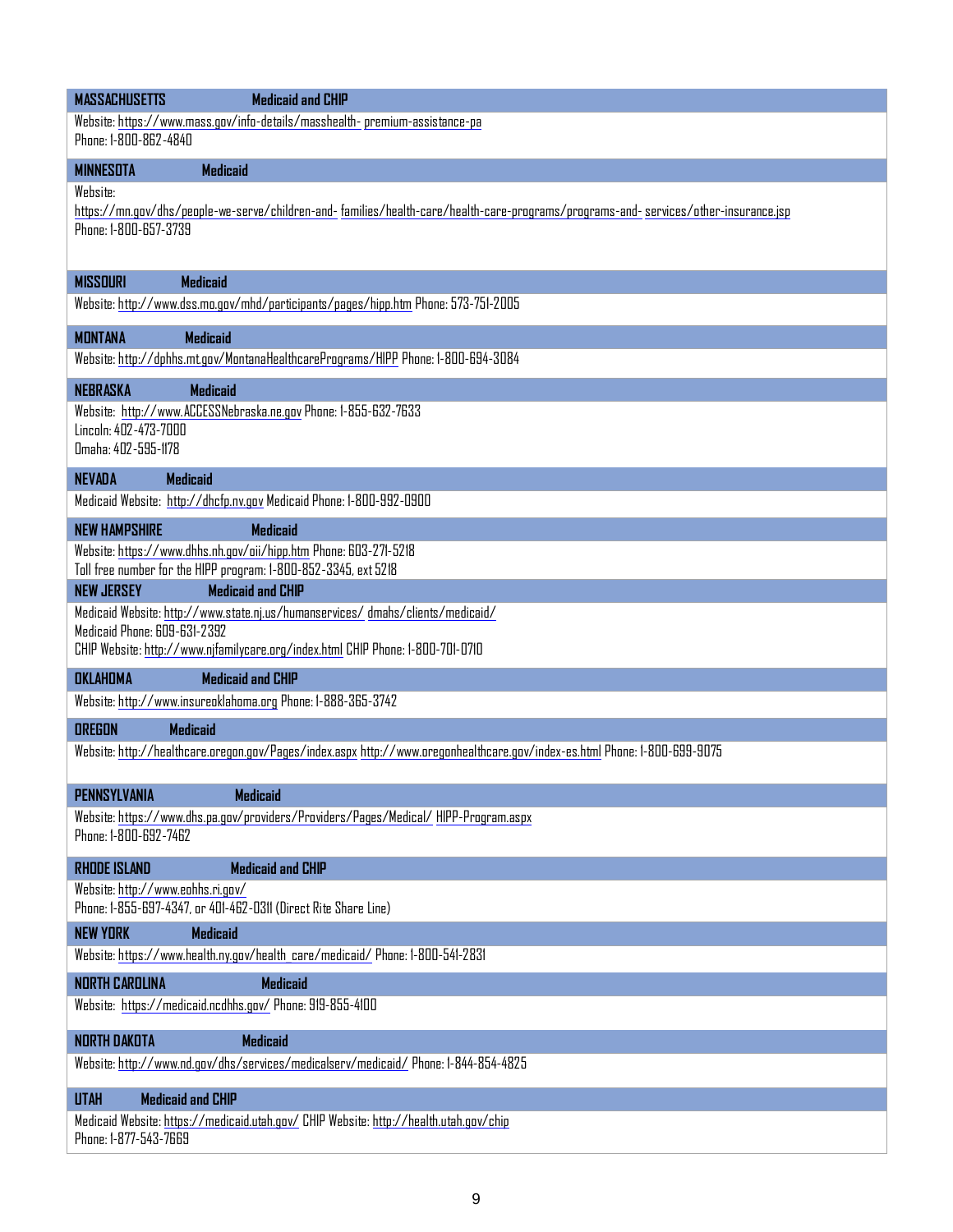| <b>MASSACHUSETTS</b><br><b>Medicaid and CHIP</b>                                                                                                                                                  |  |  |  |  |
|---------------------------------------------------------------------------------------------------------------------------------------------------------------------------------------------------|--|--|--|--|
| Website: https://www.mass.gov/info-details/masshealth- premium-assistance-pa<br>Phone: 1-800-862-4840                                                                                             |  |  |  |  |
| <b>MINNESOTA</b><br>Medicaid                                                                                                                                                                      |  |  |  |  |
| Website:<br>https://mn.gov/dhs/people-we-serve/children-and- families/health-care/health-care-programs/programs-and- services/other-insurance.jsp<br>Phone: 1-800-657-3739                        |  |  |  |  |
| <b>MISSOURI</b><br><b>Medicaid</b>                                                                                                                                                                |  |  |  |  |
| Website: http://www.dss.mo.gov/mhd/participants/pages/hipp.htm Phone: 573-751-2005                                                                                                                |  |  |  |  |
| <b>MONTANA</b><br><b>Medicaid</b>                                                                                                                                                                 |  |  |  |  |
| Website: http://dphhs.mt.gov/MontanaHealthcarePrograms/HIPP Phone: 1-800-694-3084                                                                                                                 |  |  |  |  |
| <b>NEBRASKA</b><br><b>Medicaid</b><br>Website: http://www.ACCESSNebraska.ne.gov Phone: 1-855-632-7633<br>Lincoln: 402-473-7000<br>Omaha: 402-595-1178                                             |  |  |  |  |
| <b>NEVADA</b><br><b>Medicaid</b><br>Medicaid Website: http://dhcfp.nv.gov Medicaid Phone: 1-800-992-0900                                                                                          |  |  |  |  |
| <b>NEW HAMPSHIRE</b><br><b>Medicaid</b>                                                                                                                                                           |  |  |  |  |
| Website: https://www.dhhs.nh.gov/oii/hipp.htm Phone: 603-271-5218<br>Toll free number for the HIPP program: 1-800-852-3345, ext 5218<br><b>Medicaid and CHIP</b><br><b>NEW JERSEY</b>             |  |  |  |  |
| Medicaid Website: http://www.state.nj.us/humanservices/dmahs/clients/medicaid/<br>Medicaid Phone: 609-631-2392<br>CHIP Website: http://www.njfamilycare.org/index.html CHIP Phone: 1-800-701-0710 |  |  |  |  |
| <b>OKLAHOMA</b><br><b>Medicaid and CHIP</b>                                                                                                                                                       |  |  |  |  |
| Website: http://www.insureoklahoma.org Phone: 1-888-365-3742                                                                                                                                      |  |  |  |  |
| <b>OREGON</b><br><b>Medicaid</b>                                                                                                                                                                  |  |  |  |  |
| Website: http://healthcare.oregon.gov/Pages/index.aspx http://www.oregonhealthcare.gov/index-es.html Phone: 1-800-699-9075                                                                        |  |  |  |  |
| <b>PENNSYLVANIA</b><br><b>Medicaid</b>                                                                                                                                                            |  |  |  |  |
| Website: https://www.dhs.pa.gov/providers/Providers/Pages/Medical/HIPP-Program.aspx<br>Phone: 1-800-692-7462                                                                                      |  |  |  |  |
| <b>Medicaid and CHIP</b><br><b>RHODE ISLAND</b>                                                                                                                                                   |  |  |  |  |
| Website: http://www.eohhs.ri.gov/<br>Phone: 1-855-697-4347, or 401-462-0311 (Direct Rite Share Line)                                                                                              |  |  |  |  |
| <b>NEW YORK</b><br><b>Medicaid</b>                                                                                                                                                                |  |  |  |  |
| Website: https://www.health.ny.gov/health care/medicaid/ Phone: 1-800-541-2831                                                                                                                    |  |  |  |  |
| <b>NORTH CAROLINA</b><br>Medicaid                                                                                                                                                                 |  |  |  |  |
| Website: https://medicaid.ncdhhs.gov/ Phone: 919-855-4100                                                                                                                                         |  |  |  |  |
| <b>Medicaid</b><br>NORTH DAKOTA                                                                                                                                                                   |  |  |  |  |
| Website: http://www.nd.gov/dhs/services/medicalserv/medicaid/ Phone: 1-844-854-4825                                                                                                               |  |  |  |  |
| <b>Medicaid and CHIP</b><br><b>UTAH</b>                                                                                                                                                           |  |  |  |  |
| Medicaid Website: https://medicaid.utah.gov/ CHIP Website: http://health.utah.gov/chip<br>Phone: 1-877-543-7669                                                                                   |  |  |  |  |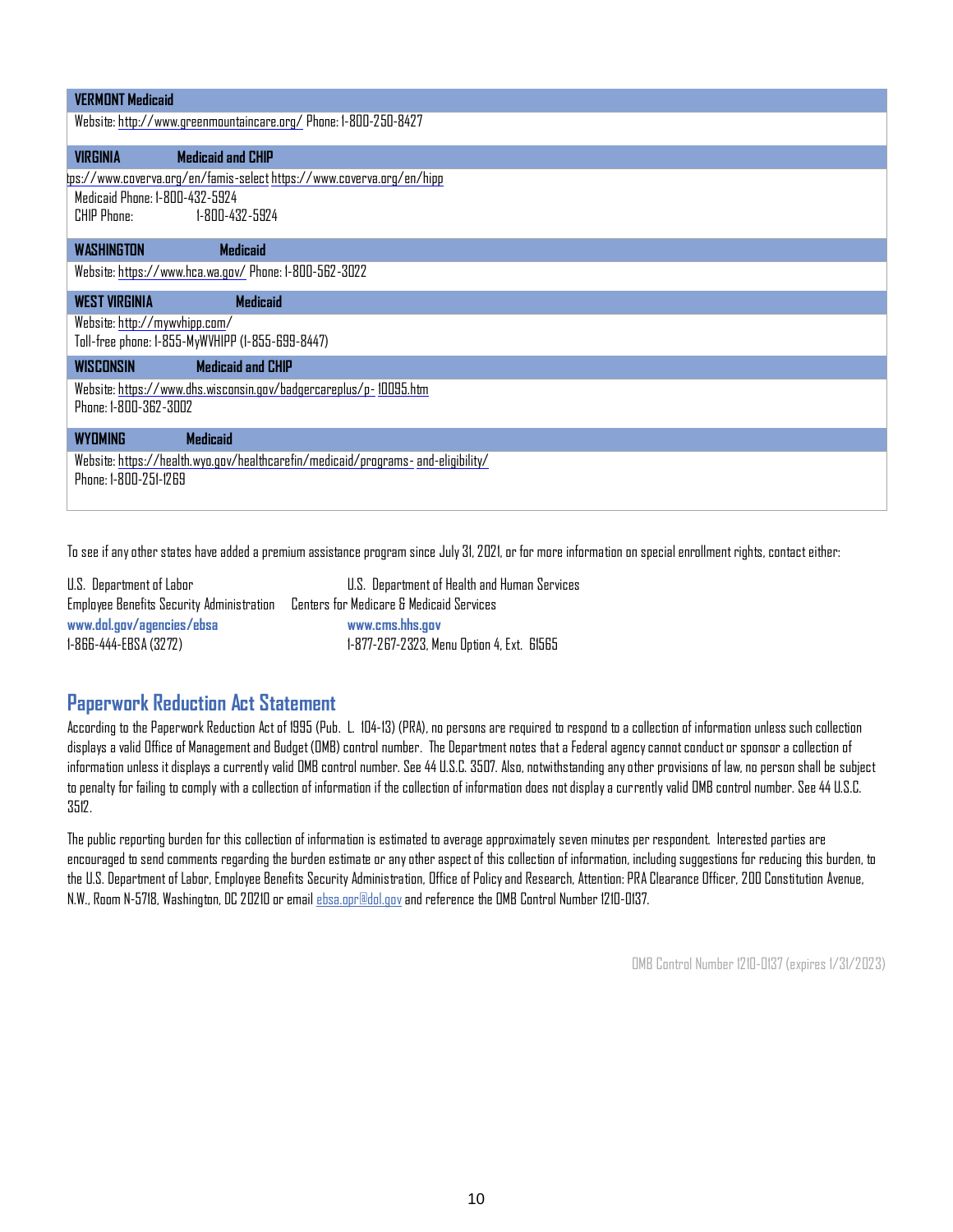| <b>VIRGINIA</b>                | <b>Medicaid and CHIP</b>                                              |  |
|--------------------------------|-----------------------------------------------------------------------|--|
|                                | lps://www.coverva.org/en/famis-select https://www.coverva.org/en/hipp |  |
| Medicaid Phone: 1-800-432-5924 |                                                                       |  |
|                                | CHIP Phone: 1-800-432-5924                                            |  |
|                                |                                                                       |  |
| <b>WASHINGTON</b>              | <b>Medicaid</b>                                                       |  |
|                                | Website: https://www.hca.wa.gov/ Phone: 1-800-562-3022                |  |
| <b>WEST VIRGINIA</b>           | <b>Medicaid</b>                                                       |  |
| Website: http://mywvhipp.com/  |                                                                       |  |
|                                | Toll-free phone: 1-855-MyWVHIPP (1-855-699-8447)                      |  |
|                                | <b>Medicaid and CHIP</b>                                              |  |
| <b>WISCONSIN</b>               |                                                                       |  |
|                                |                                                                       |  |
| Phone: 1-800-362-3002          | Website: https://www.dhs.wisconsin.gov/badgercareplus/p-10095.htm     |  |
| <b>WYDMING</b>                 | <b>Medicaid</b>                                                       |  |

To see if any other states have added a premium assistance program since July 31, 2021, or for more information on special enrollment rights, contact either:

| U.S. Department of Labor                         | U.S. Department of Health and Human Services |
|--------------------------------------------------|----------------------------------------------|
| <b>Employee Benefits Security Administration</b> | Centers for Medicare & Medicaid Services     |
| www.dol.gov/agencies/ebsa                        | www.cms.hhs.aav                              |
| 1-866-444-EBSA (3272)                            | 1-877-267-2323, Menu Option 4, Ext. 61565    |

### **Paperwork Reduction Act Statement**

According to the Paperwork Reduction Act of 1995 (Pub. L. 104-13) (PRA), no persons are required to respond to a collection of information unless such collection displays a valid Office of Management and Budget (OMB) control number. The Department notes that a Federal agency cannot conduct or sponsor a collection of information unless it displays a currently valid OMB control number. See 44 U.S.C. 3507. Also, notwithstanding any other provisions of law, no person shall be subject to penalty for failing to comply with a collection of information if the collection of information does not display a currently valid OMB control number. See 44 U.S.C. 3512.

The public reporting burden for this collection of information is estimated to average approximately seven minutes per respondent. Interested parties are encouraged to send comments regarding the burden estimate or any other aspect of this collection of information, including suggestions for reducing this burden, to the U.S. Department of Labor, Employee Benefits Security Administration, Office of Policy and Research, Attention: PRA Clearance Officer, 200 Constitution Avenue, N.W., Room N-5718, Washington, DC 20210 or email [ebsa.opr@dol.gova](mailto:ebsa.opr@dol.gov)nd reference the OMB Control Number 1210-0137.

OMB Control Number 1210-0137 (expires 1/31/2023)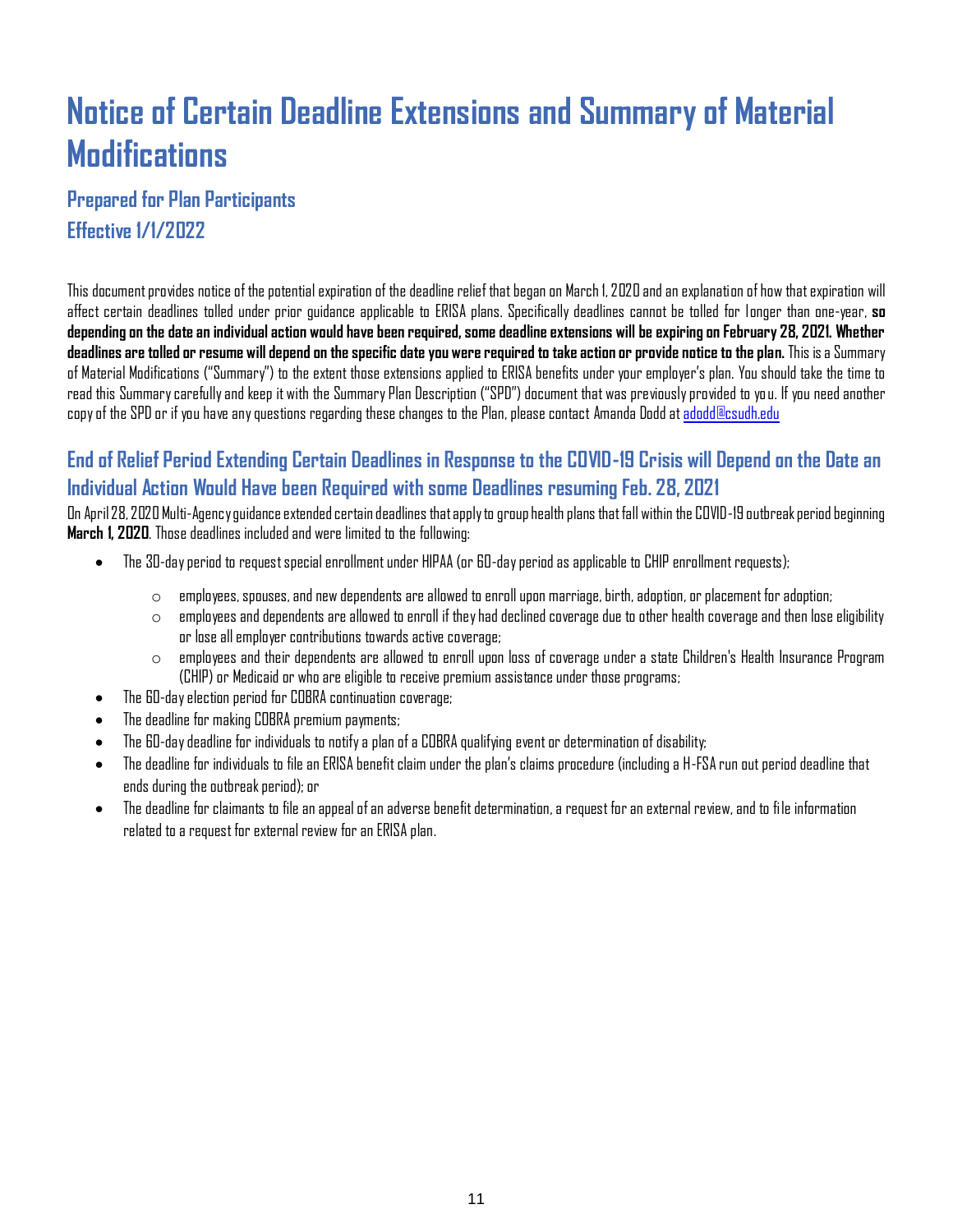### <span id="page-10-0"></span>**Notice of Certain Deadline Extensions and Summary of Material Modifications**

### **Prepared for Plan Participants Effective 1/1/2022**

This document provides notice of the potential expiration of the deadline relief that began on March 1, 2020 and an explanation of how that expiration will affect certain deadlines tolled under prior guidance applicable to ERISA plans. Specifically deadlines cannot be tolled for longer than one-year, **so depending on the date an individual action would have been required, some deadline extensions will be expiring on February 28, 2021. Whether deadlines are tolled or resume will depend on the specific date you were required to take action or provide notice to the plan.** This is a Summary of Material Modifications ("Summary") to the extent those extensions applied to ERISA benefits under your employer's plan. You should take the time to read this Summary carefully and keep it with the Summary Plan Description ("SPD") document that was previously provided to you. If you need another copy of the SPD or if you have any questions regarding these changes to the Plan, please contact Amanda Dodd a[t adodd@csudh.edu](mailto:adodd@csudh.edu)

### **End of Relief Period Extending Certain Deadlines in Response to the COVID-19 Crisis will Depend on the Date an Individual Action Would Have been Required with some Deadlines resuming Feb. 28, 2021**

On April 28, 2020 Multi-Agency guidance extended certain deadlines that apply to group health plans that fall within the COVID-19 outbreak period beginning **March 1, 2020**. Those deadlines included and were limited to the following:

- The 30-day period to request special enrollment under HIPAA (or 60-day period as applicable to CHIP enrollment requests);
	- $\circ$  employees, spouses, and new dependents are allowed to enroll upon marriage, birth, adoption, or placement for adoption;
	- $\circ$  employees and dependents are allowed to enroll if they had declined coverage due to other health coverage and then lose eligibility or lose all employer contributions towards active coverage;
	- $\circ$  employees and their dependents are allowed to enroll upon loss of coverage under a state Children's Health Insurance Program (CHIP) or Medicaid or who are eligible to receive premium assistance under those programs;
- The 60-day election period for COBRA continuation coverage;
- The deadline for making COBRA premium payments;
- The 60-day deadline for individuals to notify a plan of a COBRA qualifying event or determination of disability;
- $\bullet$  The deadline for individuals to file an ERISA benefit claim under the plan's claims procedure (including a H-FSA run out period deadline that ends during the outbreak period); or
- The deadline for claimants to file an appeal of an adverse benefit determination, a request for an external review, and to file information related to a request for external review for an ERISA plan.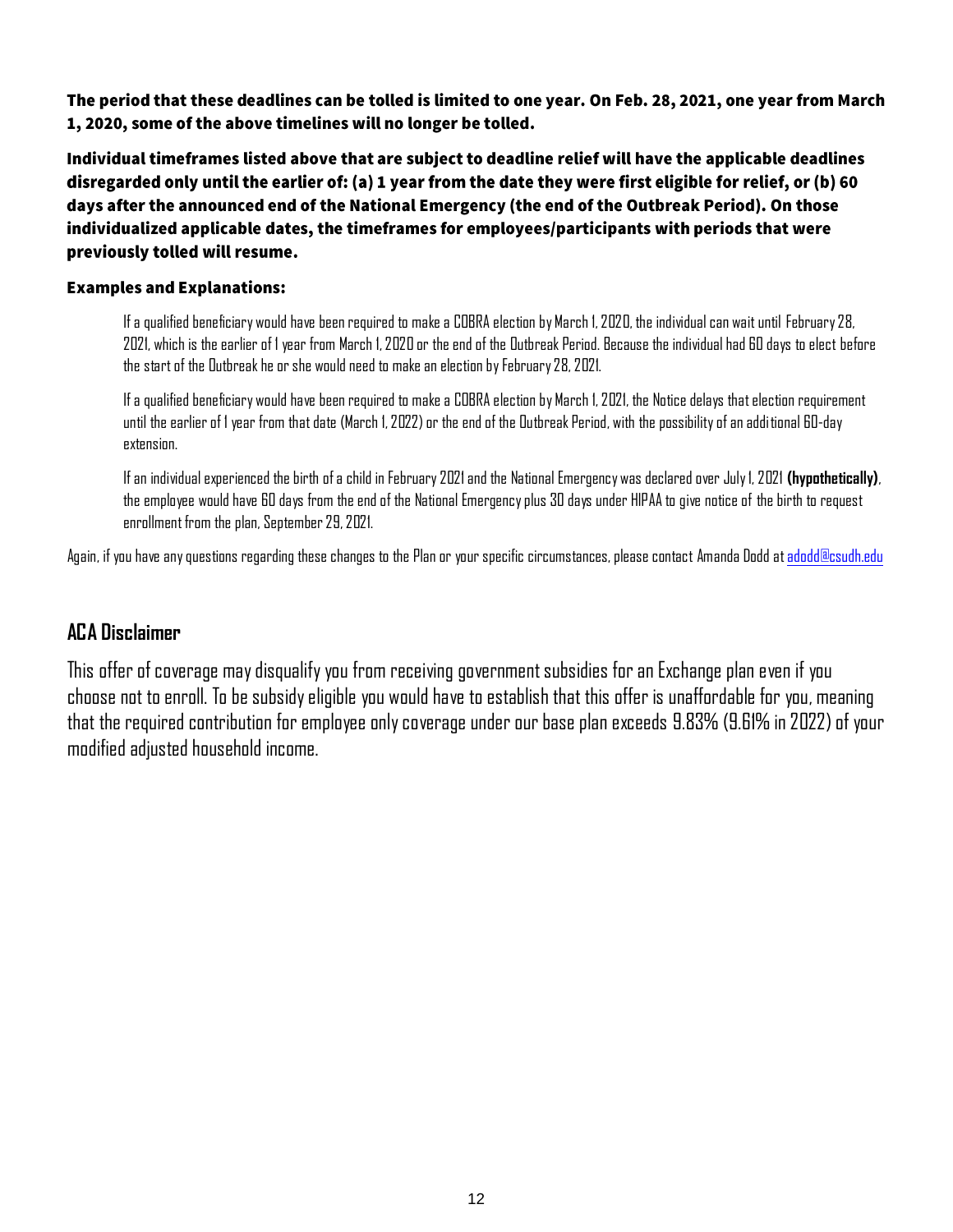The period that these deadlines can be tolled is limited to one year. On Feb. 28, 2021, one year from March 1, 2020, some of the above timelines will no longer be tolled.

Individual timeframes listed above that are subject to deadline relief will have the applicable deadlines disregarded only until the earlier of: (a) 1 year from the date they were first eligible for relief, or (b) 60 days after the announced end of the National Emergency (the end of the Outbreak Period). On those individualized applicable dates, the timeframes for employees/participants with periods that were previously tolled will resume.

### **Examples and Explanations:**

If a qualified beneficiary would have been required to make a COBRA election by March 1, 2020, the individual can wait until February 28, 2021, which is the earlier of 1 year from March 1, 2020 or the end of the Outbreak Period. Because the individual had 60 days to elect before the start of the Outbreak he or she would need to make an election by February 28, 2021.

If a qualified beneficiary would have been required to make a COBRA election by March 1, 2021, the Notice delays that election requirement until the earlier of 1 year from that date (March 1, 2022) or the end of the Outbreak Period, with the possibility of an additional 60-day extension.

Ifan individual experienced the birth of a child in February 2021 and the National Emergency was declared over July 1, 2021 **(hypothetically)**, the employee would have 60 days from the end of the National Emergency plus 30 days under HIPAA to give notice of the birth to request enrollment from the plan, September 29, 2021.

Again, if you have any questions regarding these changes to the Plan or your specific circumstances, please contact Amanda Dodd a[t adodd@csudh.edu](mailto:adodd@csudh.edu)

### **ACA Disclaimer**

This offer of coverage may disqualify you from receiving government subsidies for an Exchange plan even if you choose not to enroll. To be subsidy eligible you would have to establish that this offer is unaffordable for you, meaning that the required contribution for employee only coverage under our base plan exceeds 9.83% (9.61% in 2022) of your modified adjusted household income.